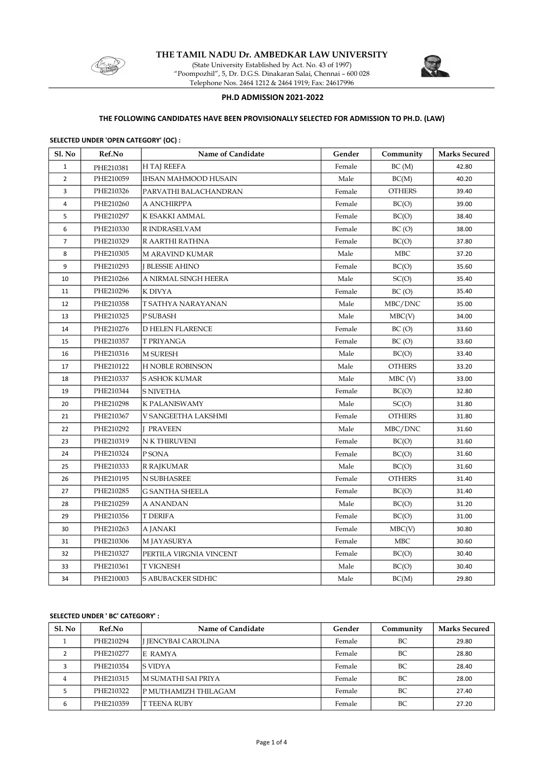

THE TAMIL NADU Dr. AMBEDKAR LAW UNIVERSITY

(State University Established by Act. No. 43 of 1997) "Poompozhil", 5, Dr. D.G.S. Dinakaran Salai, Chennai – 600 028 Telephone Nos. 2464 1212 & 2464 1919; Fax: 24617996



### PH.D ADMISSION 2021-2022

## THE FOLLOWING CANDIDATES HAVE BEEN PROVISIONALLY SELECTED FOR ADMISSION TO PH.D. (LAW)

#### SELECTED UNDER 'OPEN CATEGORY' (OC) :

| Sl. No         | Ref.No    | Name of Candidate           | Gender | Community             | <b>Marks Secured</b> |
|----------------|-----------|-----------------------------|--------|-----------------------|----------------------|
| $\mathbf{1}$   | PHE210381 | <b>H TAJ REEFA</b>          | Female | BC(M)                 | 42.80                |
| $\overline{2}$ | PHE210059 | <b>IHSAN MAHMOOD HUSAIN</b> | Male   | BC(M)                 | 40.20                |
| 3              | PHE210326 | PARVATHI BALACHANDRAN       | Female | <b>OTHERS</b>         | 39.40                |
| $\overline{4}$ | PHE210260 | A ANCHIRPPA                 | Female | BC(O)                 | 39.00                |
| 5              | PHE210297 | K ESAKKI AMMAL              | Female | BC(O)                 | 38.40                |
| 6              | PHE210330 | R INDRASELVAM               | Female | BC(O)                 | 38.00                |
| $\overline{7}$ | PHE210329 | R AARTHI RATHNA             | Female | BC(O)                 | 37.80                |
| 8              | PHE210305 | M ARAVIND KUMAR             | Male   | MBC                   | 37.20                |
| 9              | PHE210293 | <b>I BLESSIE AHINO</b>      | Female | BC(O)                 | 35.60                |
| 10             | PHE210266 | A NIRMAL SINGH HEERA        | Male   | SC(O)                 | 35.40                |
| 11             | PHE210296 | K DIVYA                     | Female | BC(O)                 | 35.40                |
| 12             | PHE210358 | T SATHYA NARAYANAN          | Male   | MBC/DNC               | 35.00                |
| 13             | PHE210325 | P SUBASH                    | Male   | MBC(V)                | 34.00                |
| 14             | PHE210276 | <b>D HELEN FLARENCE</b>     | Female | BC(O)                 | 33.60                |
| 15             | PHE210357 | T PRIYANGA                  | Female | BC(O)                 | 33.60                |
| 16             | PHE210316 | <b>M SURESH</b>             | Male   | BC(O)                 | 33.40                |
| 17             | PHE210122 | <b>H NOBLE ROBINSON</b>     | Male   | <b>OTHERS</b>         | 33.20                |
| 18             | PHE210337 | <b>S ASHOK KUMAR</b>        | Male   | $MBC$ (V)             | 33.00                |
| 19             | PHE210344 | S NIVETHA                   | Female | BC(O)                 | 32.80                |
| 20             | PHE210298 | K PALANISWAMY               | Male   | SC(O)                 | 31.80                |
| 21             | PHE210367 | V SANGEETHA LAKSHMI         | Female | <b>OTHERS</b>         | 31.80                |
| 22             | PHE210292 | <b>PRAVEEN</b>              | Male   | ${\rm MBC}/{\rm DNC}$ | 31.60                |
| 23             | PHE210319 | N K THIRUVENI               | Female | BC(O)                 | 31.60                |
| 24             | PHE210324 | P SONA                      | Female | BC(O)                 | 31.60                |
| 25             | PHE210333 | R RAJKUMAR                  | Male   | BC(O)                 | 31.60                |
| 26             | PHE210195 | N SUBHASREE                 | Female | <b>OTHERS</b>         | 31.40                |
| 27             | PHE210285 | <b>G SANTHA SHEELA</b>      | Female | BC(O)                 | 31.40                |
| 28             | PHE210259 | A ANANDAN                   | Male   | BC(O)                 | 31.20                |
| 29             | PHE210356 | T DERIFA                    | Female | BC(O)                 | 31.00                |
| 30             | PHE210263 | A JANAKI                    | Female | MBC(V)                | 30.80                |
| 31             | PHE210306 | M JAYASURYA                 | Female | MBC                   | 30.60                |
| 32             | PHE210327 | PERTILA VIRGNIA VINCENT     | Female | BC(O)                 | 30.40                |
| 33             | PHE210361 | T VIGNESH                   | Male   | BC(O)                 | 30.40                |
| 34             | PHE210003 | <b>S ABUBACKER SIDHIC</b>   | Male   | BC(M)                 | 29.80                |

#### SELECTED UNDER ' BC' CATEGORY' :

| Sl. No         | Ref.No    | Name of Candidate           | Gender | Community | <b>Marks Secured</b> |
|----------------|-----------|-----------------------------|--------|-----------|----------------------|
|                | PHE210294 | I JENCYBAI CAROLINA         | Female | BC        | 29.80                |
|                | PHE210277 | <b>E RAMYA</b>              | Female | BC        | 28.80                |
|                | PHE210354 | IS VIDYA                    | Female | BC        | 28.40                |
| $\overline{4}$ | PHE210315 | IM SUMATHI SAI PRIYA        | Female | BC.       | 28.00                |
|                | PHE210322 | <b>P MUTHAMIZH THILAGAM</b> | Female | BC        | 27.40                |
| 6              | PHE210359 | <b>IT TEENA RUBY</b>        | Female | BC        | 27.20                |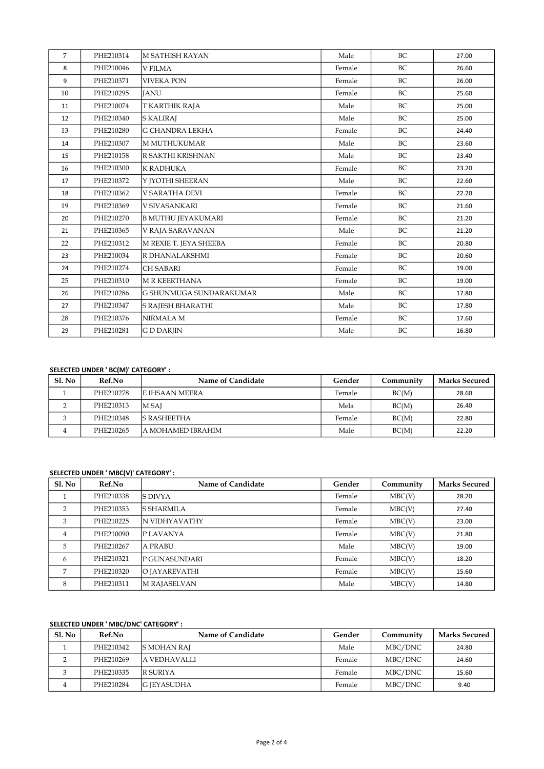| 7  | PHE210314 | <b>M SATHISH RAYAN</b>    | Male   | BC        | 27.00 |
|----|-----------|---------------------------|--------|-----------|-------|
| 8  | PHE210046 | <b>V FILMA</b>            | Female | BC        | 26.60 |
| 9  | PHE210371 | <b>VIVEKA PON</b>         | Female | <b>BC</b> | 26.00 |
| 10 | PHE210295 | <b>IANU</b>               | Female | BC        | 25.60 |
| 11 | PHE210074 | T KARTHIK RAJA            | Male   | BC        | 25.00 |
| 12 | PHE210340 | <b>S KALIRAJ</b>          | Male   | BC        | 25.00 |
| 13 | PHE210280 | <b>G CHANDRA LEKHA</b>    | Female | BC        | 24.40 |
| 14 | PHE210307 | <b>M MUTHUKUMAR</b>       | Male   | BC        | 23.60 |
| 15 | PHE210158 | R SAKTHI KRISHNAN         | Male   | BC        | 23.40 |
| 16 | PHE210300 | K RADHUKA                 | Female | BC        | 23.20 |
| 17 | PHE210372 | Y JYOTHI SHEERAN          | Male   | BC        | 22.60 |
| 18 | PHE210362 | <b>V SARATHA DEVI</b>     | Female | BC        | 22.20 |
| 19 | PHE210369 | V SIVASANKARI             | Female | BC        | 21.60 |
| 20 | PHE210270 | <b>B MUTHU JEYAKUMARI</b> | Female | BC        | 21.20 |
| 21 | PHE210365 | V RAJA SARAVANAN          | Male   | BC        | 21.20 |
| 22 | PHE210312 | M REXIE T. JEYA SHEEBA    | Female | BC        | 20.80 |
| 23 | PHE210034 | R DHANALAKSHMI            | Female | BC        | 20.60 |
| 24 | PHE210274 | <b>CH SABARI</b>          | Female | BC        | 19.00 |
| 25 | PHE210310 | <b>M R KEERTHANA</b>      | Female | BC        | 19.00 |
| 26 | PHE210286 | G SHUNMUGA SUNDARAKUMAR   | Male   | BC        | 17.80 |
| 27 | PHE210347 | S RAJESH BHARATHI         | Male   | BC        | 17.80 |
| 28 | PHE210376 | NIRMALA M                 | Female | BC        | 17.60 |
| 29 | PHE210281 | <b>GDDARJIN</b>           | Male   | BC        | 16.80 |

## SELECTED UNDER ' BC(M)' CATEGORY' :

| $SL$ No | Ref.No    | Name of Candidate     | Gender | Community | <b>Marks Secured</b> |
|---------|-----------|-----------------------|--------|-----------|----------------------|
|         | PHE210278 | <b>E IHSAAN MEERA</b> | Female | BC(M)     | 28.60                |
|         | PHE210313 | <b>MSAI</b>           | Mela   | BC(M)     | 26.40                |
|         | PHE210348 | <b>S RASHEETHA</b>    | Female | BC(M)     | 22.80                |
|         | PHE210265 | A MOHAMED IBRAHIM     | Male   | BC(M)     | 22.20                |

# SELECTED UNDER ' MBC(V)' CATEGORY' :

| SI. No         | Ref.No    | Name of Candidate | Gender | Community | <b>Marks Secured</b> |
|----------------|-----------|-------------------|--------|-----------|----------------------|
|                | PHE210338 | ls divya          | Female | MBC(V)    | 28.20                |
| $\mathcal{P}$  | PHE210353 | lS SHARMILA       | Female | MBC(V)    | 27.40                |
| 3              | PHE210225 | IN VIDHYAVATHY    | Female | MBC(V)    | 23.00                |
| $\overline{4}$ | PHE210090 | IP LAVANYA        | Female | MBC(V)    | 21.80                |
| 5              | PHE210267 | A PRABU           | Male   | MBC(V)    | 19.00                |
| 6              | PHE210321 | P GUNASUNDARI     | Female | MBC(V)    | 18.20                |
| 7              | PHE210320 | IO JAYAREVATHI    | Female | MBC(V)    | 15.60                |
| 8              | PHE210311 | M RAJASELVAN      | Male   | MBC(V)    | 14.80                |

#### SELECTED UNDER ' MBC/DNC' CATEGORY' :

| <b>S1. No</b> | Ref.No    | Name of Candidate  | Gender | Community | <b>Marks Secured</b> |
|---------------|-----------|--------------------|--------|-----------|----------------------|
|               | PHE210342 | <b>S MOHAN RAI</b> | Male   | MBC/DNC   | 24.80                |
|               | PHE210269 | la vedhavalli      | Female | MBC/DNC   | 24.60                |
|               | PHE210335 | <b>R SURIYA</b>    | Female | MBC/DNC   | 15.60                |
| 4             | PHE210284 | <b>G JEYASUDHA</b> | Female | MBC/DNC   | 9.40                 |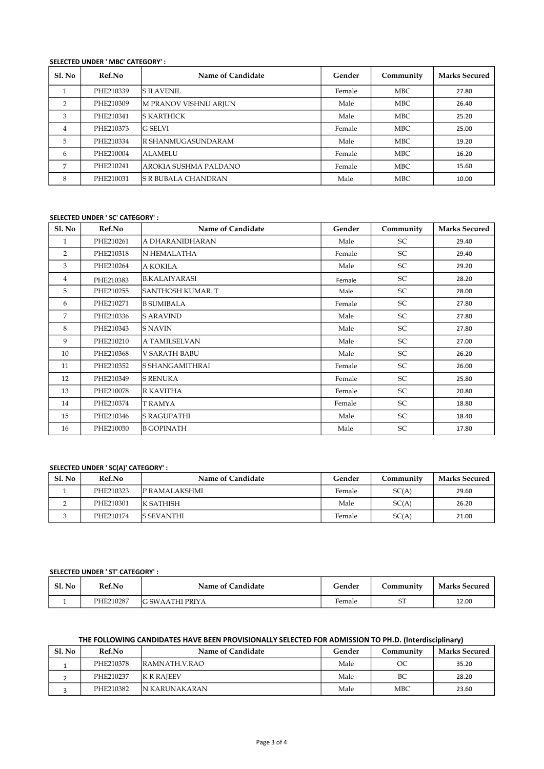### SELECTED UNDER ' MBC' CATEGORY' :

| Sl. No         | Ref.No    | Name of Candidate            | Gender | Community  | <b>Marks Secured</b> |
|----------------|-----------|------------------------------|--------|------------|----------------------|
|                | PHE210339 | IS ILAVENIL                  | Female | <b>MBC</b> | 27.80                |
| C              | PHE210309 | <b>M PRANOV VISHNU ARJUN</b> | Male   | <b>MBC</b> | 26.40                |
| 3              | PHE210341 | ls karthick                  | Male   | <b>MBC</b> | 25.20                |
| $\overline{4}$ | PHE210373 | <b>G SELVI</b>               | Female | <b>MBC</b> | 25.00                |
| 5              | PHE210334 | R SHANMUGASUNDARAM           | Male   | <b>MBC</b> | 19.20                |
| 6              | PHE210004 | ALAMELU                      | Female | <b>MBC</b> | 16.20                |
| 7              | PHE210241 | AROKIA SUSHMA PALDANO        | Female | <b>MBC</b> | 15.60                |
| 8              | PHE210031 | IS R BUBALA CHANDRAN         | Male   | <b>MBC</b> | 10.00                |

#### SELECTED UNDER ' SC' CATEGORY' :

| <b>S1. No</b> | Ref.No    | Name of Candidate    | Gender | Community | <b>Marks Secured</b> |
|---------------|-----------|----------------------|--------|-----------|----------------------|
| 1             | PHE210261 | A DHARANIDHARAN      | Male   | SC        | 29.40                |
| 2             | PHE210318 | N HEMALATHA          | Female | SC        | 29.40                |
| 3             | PHE210264 | A KOKILA             | Male   | SC        | 29.20                |
| 4             | PHE210383 | <b>B.KALAIYARASI</b> | Female | SC        | 28.20                |
| 5             | PHE210255 | SANTHOSH KUMAR. T    | Male   | SC        | 28.00                |
| 6             | PHE210271 | <b>B SUMIBALA</b>    | Female | SC        | 27.80                |
| 7             | PHE210336 | <b>S ARAVIND</b>     | Male   | SC        | 27.80                |
| 8             | PHE210343 | S NAVIN              | Male   | SC        | 27.80                |
| 9             | PHE210210 | A TAMILSELVAN        | Male   | SC        | 27.00                |
| 10            | PHE210368 | <b>V SARATH BABU</b> | Male   | SC        | 26.20                |
| 11            | PHE210352 | lS SHANGAMITHRAI     | Female | SC        | 26.00                |
| 12            | PHE210349 | <b>S RENUKA</b>      | Female | SC        | 25.80                |
| 13            | PHE210078 | R KAVITHA            | Female | SC        | 20.80                |
| 14            | PHE210374 | <b>T RAMYA</b>       | Female | SC        | 18.80                |
| 15            | PHE210346 | <b>S RAGUPATHI</b>   | Male   | SC        | 18.40                |
| 16            | PHE210050 | <b>B GOPINATH</b>    | Male   | SC        | 17.80                |

## SELECTED UNDER ' SC(A)' CATEGORY' :

| Sl. No | Ref.No    | Name of Candidate    | Gender | Community | <b>Marks Secured</b> |
|--------|-----------|----------------------|--------|-----------|----------------------|
|        | PHE210323 | <b>P RAMALAKSHML</b> | Female | SC(A)     | 29.60                |
|        | PHE210301 | <b>K SATHISH</b>     | Male   | SC(A)     | 26.20                |
|        | PHE210174 | <b>S SEVANTHI</b>    | Female | SC(A)     | 21.00                |

# SELECTED UNDER ' ST' CATEGORY' :

| Sl. No | Ref.No    | Name of Candidate | Gender | <b>Community</b> | <b>Marks Secured</b> |
|--------|-----------|-------------------|--------|------------------|----------------------|
|        | PHE210287 | IG SWAATHI PRIYA  | Female |                  | 12.00                |

## THE FOLLOWING CANDIDATES HAVE BEEN PROVISIONALLY SELECTED FOR ADMISSION TO PH.D. (Interdisciplinary)

| Sl. No | Ref.No    | Name of Candidate  | Gender | Communitv  | <b>Marks Secured</b> |
|--------|-----------|--------------------|--------|------------|----------------------|
|        | PHE210378 | RAMNATH.V.RAO      | Male   | OC         | 35.20                |
|        | PHE210237 | <b>IK R RAJEEV</b> | Male   | BC         | 28.20                |
|        | PHE210382 | IN KARUNAKARAN     | Male   | <b>MBC</b> | 23.60                |